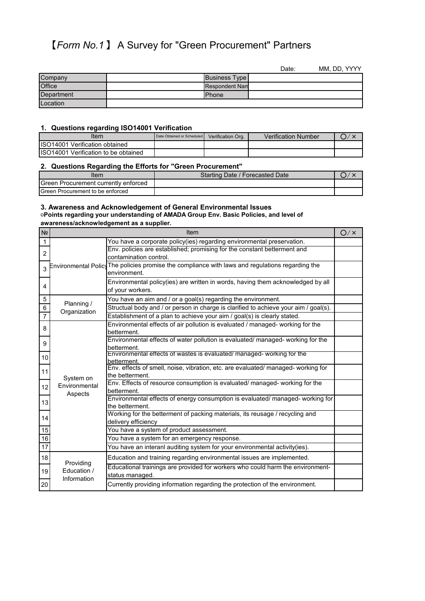# 【*Form No.1* 】 A Survey for "Green Procurement" Partners

|            |                       | Date: | MM, DD, YYYY |
|------------|-----------------------|-------|--------------|
| Company    | <b>Business Type</b>  |       |              |
| Office     | <b>Respondent Nam</b> |       |              |
| Department | <b>Phone</b>          |       |              |
| Location   |                       |       |              |

#### **1. Questions regarding ISO14001 Verification**

| Item                                 | Date Obtained or Scheduled | Verification Org. | <b>Verification Number</b> |  |
|--------------------------------------|----------------------------|-------------------|----------------------------|--|
| ISO14001 Verification obtained       |                            |                   |                            |  |
| ISO14001 Verification to be obtained |                            |                   |                            |  |

### **2. Questions Regarding the Efforts for "Green Procurement"**

| ltem                                      | Starting Date / Forecasted Date |  |
|-------------------------------------------|---------------------------------|--|
| Green Procurement currently enforced      |                                 |  |
| <b>I</b> Green Procurement to be enforced |                                 |  |

#### **3. Awareness and Acknowledgement of General Environmental Issues** ▢**Points regarding your understanding of AMADA Group Env. Basic Policies, and level of awareness/acknowledgement as a supplier.**

| N <sub>o</sub> |                            | Item                                                                                                                   | O / x |
|----------------|----------------------------|------------------------------------------------------------------------------------------------------------------------|-------|
| 1              |                            | You have a corporate policy(ies) regarding environmental preservation.                                                 |       |
| $\overline{2}$ |                            | Env. policies are established; promising for the constant betterment and<br>contamination control.                     |       |
| 3              |                            | Environmental Policy $\sf The$ policies promise the compliance with laws and regulations regarding the<br>environment. |       |
| 4              |                            | Environmental policy(ies) are written in words, having them acknowledged by all<br>of your workers.                    |       |
| $\sqrt{5}$     | Planning /                 | You have an aim and / or a goal(s) regarding the environment.                                                          |       |
| 6              | Organization               | Structual body and / or person in charge is clarified to achieve your aim / goal(s).                                   |       |
| $\overline{7}$ |                            | Establishment of a plan to achieve your aim / goal(s) is clearly stated.                                               |       |
| 8              |                            | Environmental effects of air pollution is evaluated / managed- working for the<br>betterment.                          |       |
| 9              |                            | Environmental effects of water pollution is evaluated/ managed- working for the<br>betterment.                         |       |
| 10             |                            | Environmental effects of wastes is evaluated/ managed- working for the<br>betterment.                                  |       |
| 11             | System on                  | Env. effects of smell, noise, vibration, etc. are evaluated/ managed- working for<br>the betterment.                   |       |
| 12             | Environmental<br>Aspects   | Env. Effects of resource consumption is evaluated/ managed- working for the<br>betterment.                             |       |
| 13             |                            | Environmental effects of energy consumption is evaluated/ managed- working for<br>the betterment.                      |       |
| 14             |                            | Working for the betterment of packing materials, its reusage / recycling and<br>delivery efficiency                    |       |
| 15             |                            | You have a system of product assessment.                                                                               |       |
| $16\,$         |                            | You have a system for an emergency response.                                                                           |       |
| 17             |                            | You have an interanl auditing system for your environmental activity(ies).                                             |       |
| 18             | Providing                  | Education and training regarding environmental issues are implemented.                                                 |       |
| 19             | Education /<br>Information | Educational trainings are provided for workers who could harm the environment-<br>status managed.                      |       |
| 20             |                            | Currently providing information regarding the protection of the environment.                                           |       |